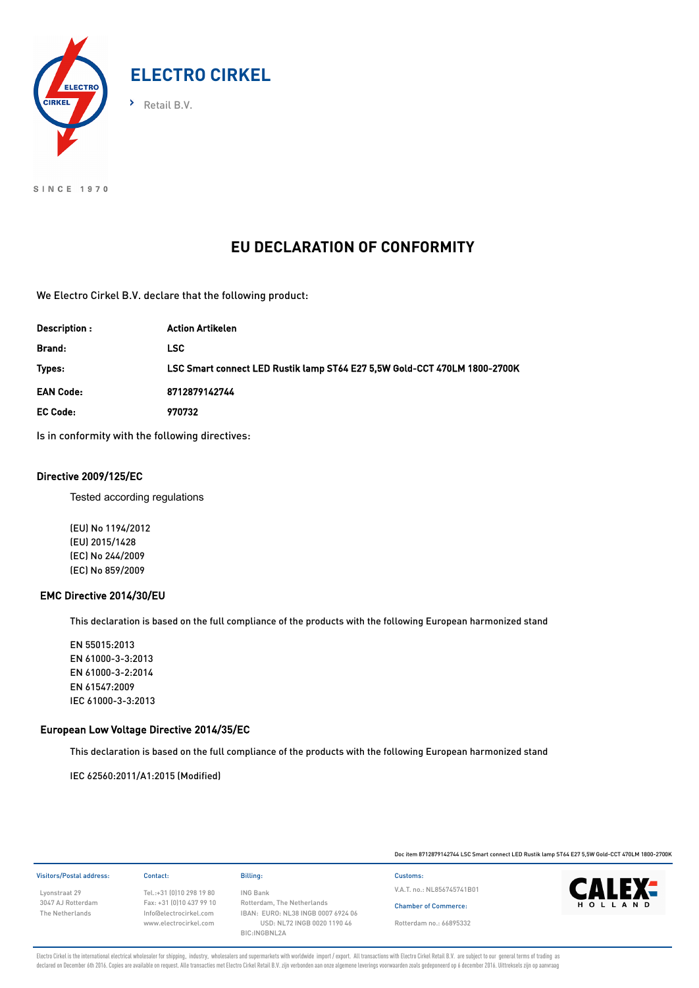

SINCE 1970

## **EU DECLARATION OF CONFORMITY**

We Electro Cirkel B.V. declare that the following product:

| Description :    | <b>Action Artikelen</b>                                                   |
|------------------|---------------------------------------------------------------------------|
| Brand:           | LSC.                                                                      |
| Types:           | LSC Smart connect LED Rustik lamp ST64 E27 5,5W Gold-CCT 470LM 1800-2700K |
| <b>EAN Code:</b> | 8712879142744                                                             |
| <b>EC Code:</b>  | 970732                                                                    |

Is in conformity with the following directives:

### Directive 2009/125/EC

Tested according regulations

(EU) No 1194/2012 (EU) 2015/1428 (EC) No 244/2009 (EC) No 859/2009

### EMC Directive 2014/30/EU

This declaration is based on the full compliance of the products with the following European harmonized stand

EN 55015:2013 EN 61000-3-3:2013 EN 61000-3-2:2014 EN 61547:2009 IEC 61000-3-3:2013

### European Low Voltage Directive 2014/35/EC

This declaration is based on the full compliance of the products with the following European harmonized stand

IEC 62560:2011/A1:2015 (Modified)

Doc item 8712879142744 LSC Smart connect LED Rustik lamp ST64 E27 5,5W Gold-CCT 470LM 1800-2700K

| Visitors/Postal address: | Contact:                  | Billing:                           | Customs:    |  |
|--------------------------|---------------------------|------------------------------------|-------------|--|
| Lyonstraat 29            | Tel.:+31 (0)10 298 19 80  | <b>ING Bank</b>                    | V.A.T. no.: |  |
| 3047 AJ Rotterdam        | Fax: +31 (0) 10 437 99 10 | Rotterdam, The Netherlands         | Chamber     |  |
| The Netherlands          | Info@electrocirkel.com    | IBAN: EURO: NL38 INGB 0007 6924 06 |             |  |
|                          | www.electrocirkel.com     | USD: NL72 INGB 0020 1190 46        | Rotterdam   |  |
|                          |                           | $m1 m1 < m2 < m3 < m4$             |             |  |

ank rdam, The Netherlands EURO: NL38 INGB 0007 6924 06 USD: NL72 INGB 0020 1190 46 BIC:INGBNL2A

V.A.T. no.: NL856745741B01

Chamber of Commerce: Rotterdam no.: 66895332



Electro Cirkel is the international electrical wholesaler for shipping, industry, wholesalers and supermarkets with worldwide import / export. All transactions with Electro Cirkel Retail B.V. are subject to our general ter declared on December 6th 2016. Copies are available on request. Alle transacties met Electro Cirkel Retail B.V. zijn verbonden aan onze algemene leverings voorwaarden zoals gedeponeerd op 6 december 2016. Uittreksels zijn